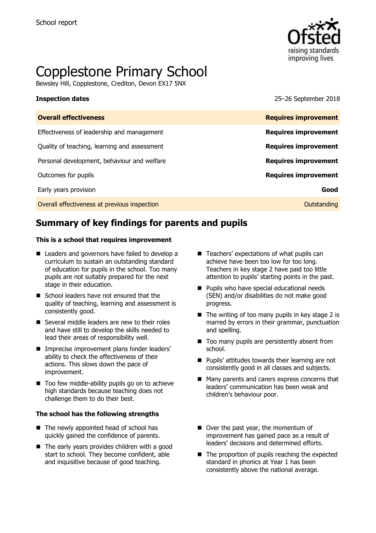

# Copplestone Primary School

Bewsley Hill, Copplestone, Crediton, Devon EX17 5NX

**Inspection dates** 25–26 September 2018

| <b>Overall effectiveness</b>                 | <b>Requires improvement</b> |
|----------------------------------------------|-----------------------------|
| Effectiveness of leadership and management   | <b>Requires improvement</b> |
| Quality of teaching, learning and assessment | <b>Requires improvement</b> |
| Personal development, behaviour and welfare  | <b>Requires improvement</b> |
| Outcomes for pupils                          | <b>Requires improvement</b> |
| Early years provision                        | Good                        |
| Overall effectiveness at previous inspection | Outstanding                 |

# **Summary of key findings for parents and pupils**

### **This is a school that requires improvement**

- Leaders and governors have failed to develop a curriculum to sustain an outstanding standard of education for pupils in the school. Too many pupils are not suitably prepared for the next stage in their education.
- School leaders have not ensured that the quality of teaching, learning and assessment is consistently good.
- Several middle leaders are new to their roles and have still to develop the skills needed to lead their areas of responsibility well.
- **Imprecise improvement plans hinder leaders'** ability to check the effectiveness of their actions. This slows down the pace of improvement.
- Too few middle-ability pupils go on to achieve high standards because teaching does not challenge them to do their best.

### **The school has the following strengths**

- The newly appointed head of school has quickly gained the confidence of parents.
- The early years provides children with a good start to school. They become confident, able and inquisitive because of good teaching.
- $\blacksquare$  Teachers' expectations of what pupils can achieve have been too low for too long. Teachers in key stage 2 have paid too little attention to pupils' starting points in the past.
- **Pupils who have special educational needs** (SEN) and/or disabilities do not make good progress.
- $\blacksquare$  The writing of too many pupils in key stage 2 is marred by errors in their grammar, punctuation and spelling.
- $\blacksquare$  Too many pupils are persistently absent from school.
- **Pupils' attitudes towards their learning are not** consistently good in all classes and subjects.
- Many parents and carers express concerns that leaders' communication has been weak and children's behaviour poor.
- Over the past year, the momentum of improvement has gained pace as a result of leaders' decisions and determined efforts.
- $\blacksquare$  The proportion of pupils reaching the expected standard in phonics at Year 1 has been consistently above the national average.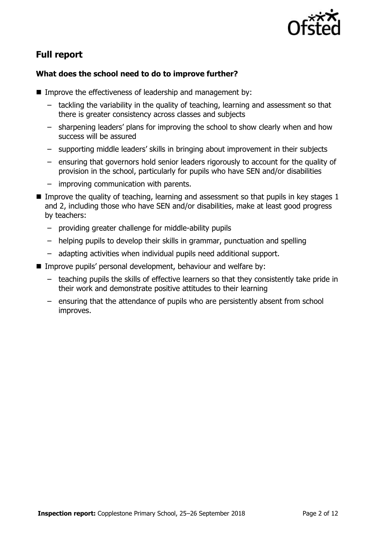

# **Full report**

### **What does the school need to do to improve further?**

- Improve the effectiveness of leadership and management by:
	- tackling the variability in the quality of teaching, learning and assessment so that there is greater consistency across classes and subjects
	- sharpening leaders' plans for improving the school to show clearly when and how success will be assured
	- supporting middle leaders' skills in bringing about improvement in their subjects
	- ensuring that governors hold senior leaders rigorously to account for the quality of provision in the school, particularly for pupils who have SEN and/or disabilities
	- improving communication with parents.
- Improve the quality of teaching, learning and assessment so that pupils in key stages  $1$ and 2, including those who have SEN and/or disabilities, make at least good progress by teachers:
	- providing greater challenge for middle-ability pupils
	- helping pupils to develop their skills in grammar, punctuation and spelling
	- adapting activities when individual pupils need additional support.
- Improve pupils' personal development, behaviour and welfare by:
	- teaching pupils the skills of effective learners so that they consistently take pride in their work and demonstrate positive attitudes to their learning
	- ensuring that the attendance of pupils who are persistently absent from school improves.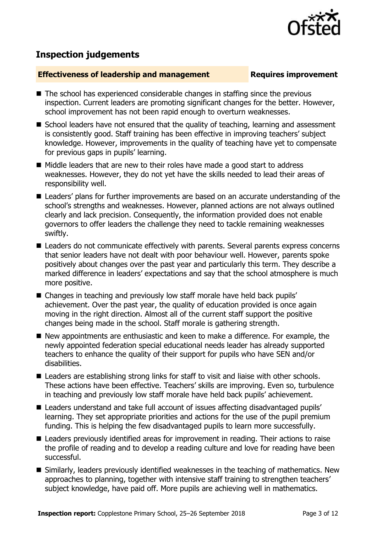## **Inspection judgements**

### **Effectiveness of leadership and management Requires improvement**

- The school has experienced considerable changes in staffing since the previous inspection. Current leaders are promoting significant changes for the better. However, school improvement has not been rapid enough to overturn weaknesses.
- School leaders have not ensured that the quality of teaching, learning and assessment is consistently good. Staff training has been effective in improving teachers' subject knowledge. However, improvements in the quality of teaching have yet to compensate for previous gaps in pupils' learning.
- Middle leaders that are new to their roles have made a good start to address weaknesses. However, they do not yet have the skills needed to lead their areas of responsibility well.
- Leaders' plans for further improvements are based on an accurate understanding of the school's strengths and weaknesses. However, planned actions are not always outlined clearly and lack precision. Consequently, the information provided does not enable governors to offer leaders the challenge they need to tackle remaining weaknesses swiftly.
- Leaders do not communicate effectively with parents. Several parents express concerns that senior leaders have not dealt with poor behaviour well. However, parents spoke positively about changes over the past year and particularly this term. They describe a marked difference in leaders' expectations and say that the school atmosphere is much more positive.
- Changes in teaching and previously low staff morale have held back pupils' achievement. Over the past year, the quality of education provided is once again moving in the right direction. Almost all of the current staff support the positive changes being made in the school. Staff morale is gathering strength.
- New appointments are enthusiastic and keen to make a difference. For example, the newly appointed federation special educational needs leader has already supported teachers to enhance the quality of their support for pupils who have SEN and/or disabilities.
- Leaders are establishing strong links for staff to visit and liaise with other schools. These actions have been effective. Teachers' skills are improving. Even so, turbulence in teaching and previously low staff morale have held back pupils' achievement.
- Leaders understand and take full account of issues affecting disadvantaged pupils' learning. They set appropriate priorities and actions for the use of the pupil premium funding. This is helping the few disadvantaged pupils to learn more successfully.
- Leaders previously identified areas for improvement in reading. Their actions to raise the profile of reading and to develop a reading culture and love for reading have been successful.
- Similarly, leaders previously identified weaknesses in the teaching of mathematics. New approaches to planning, together with intensive staff training to strengthen teachers' subject knowledge, have paid off. More pupils are achieving well in mathematics.

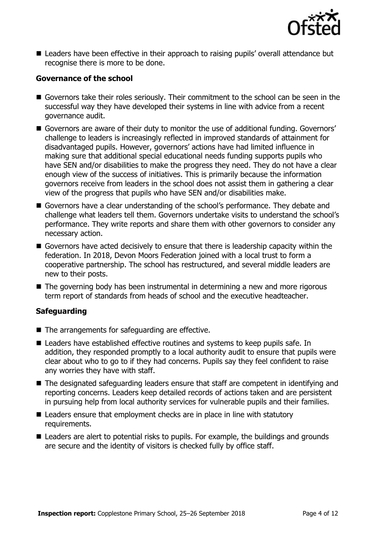

■ Leaders have been effective in their approach to raising pupils' overall attendance but recognise there is more to be done.

### **Governance of the school**

- Governors take their roles seriously. Their commitment to the school can be seen in the successful way they have developed their systems in line with advice from a recent governance audit.
- Governors are aware of their duty to monitor the use of additional funding. Governors' challenge to leaders is increasingly reflected in improved standards of attainment for disadvantaged pupils. However, governors' actions have had limited influence in making sure that additional special educational needs funding supports pupils who have SEN and/or disabilities to make the progress they need. They do not have a clear enough view of the success of initiatives. This is primarily because the information governors receive from leaders in the school does not assist them in gathering a clear view of the progress that pupils who have SEN and/or disabilities make.
- Governors have a clear understanding of the school's performance. They debate and challenge what leaders tell them. Governors undertake visits to understand the school's performance. They write reports and share them with other governors to consider any necessary action.
- Governors have acted decisively to ensure that there is leadership capacity within the federation. In 2018, Devon Moors Federation joined with a local trust to form a cooperative partnership. The school has restructured, and several middle leaders are new to their posts.
- The governing body has been instrumental in determining a new and more rigorous term report of standards from heads of school and the executive headteacher.

### **Safeguarding**

- $\blacksquare$  The arrangements for safeguarding are effective.
- Leaders have established effective routines and systems to keep pupils safe. In addition, they responded promptly to a local authority audit to ensure that pupils were clear about who to go to if they had concerns. Pupils say they feel confident to raise any worries they have with staff.
- The designated safeguarding leaders ensure that staff are competent in identifying and reporting concerns. Leaders keep detailed records of actions taken and are persistent in pursuing help from local authority services for vulnerable pupils and their families.
- Leaders ensure that employment checks are in place in line with statutory requirements.
- Leaders are alert to potential risks to pupils. For example, the buildings and grounds are secure and the identity of visitors is checked fully by office staff.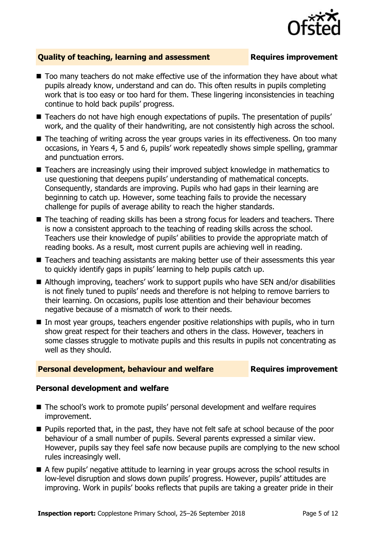

### **Quality of teaching, learning and assessment Requires improvement**

- Too many teachers do not make effective use of the information they have about what pupils already know, understand and can do. This often results in pupils completing work that is too easy or too hard for them. These lingering inconsistencies in teaching continue to hold back pupils' progress.
- Teachers do not have high enough expectations of pupils. The presentation of pupils' work, and the quality of their handwriting, are not consistently high across the school.
- The teaching of writing across the year groups varies in its effectiveness. On too many occasions, in Years 4, 5 and 6, pupils' work repeatedly shows simple spelling, grammar and punctuation errors.
- Teachers are increasingly using their improved subject knowledge in mathematics to use questioning that deepens pupils' understanding of mathematical concepts. Consequently, standards are improving. Pupils who had gaps in their learning are beginning to catch up. However, some teaching fails to provide the necessary challenge for pupils of average ability to reach the higher standards.
- The teaching of reading skills has been a strong focus for leaders and teachers. There is now a consistent approach to the teaching of reading skills across the school. Teachers use their knowledge of pupils' abilities to provide the appropriate match of reading books. As a result, most current pupils are achieving well in reading.
- Teachers and teaching assistants are making better use of their assessments this year to quickly identify gaps in pupils' learning to help pupils catch up.
- Although improving, teachers' work to support pupils who have SEN and/or disabilities is not finely tuned to pupils' needs and therefore is not helping to remove barriers to their learning. On occasions, pupils lose attention and their behaviour becomes negative because of a mismatch of work to their needs.
- In most year groups, teachers engender positive relationships with pupils, who in turn show great respect for their teachers and others in the class. However, teachers in some classes struggle to motivate pupils and this results in pupils not concentrating as well as they should.

### **Personal development, behaviour and welfare <b>Requires improvement**

### **Personal development and welfare**

- The school's work to promote pupils' personal development and welfare requires improvement.
- **Pupils reported that, in the past, they have not felt safe at school because of the poor** behaviour of a small number of pupils. Several parents expressed a similar view. However, pupils say they feel safe now because pupils are complying to the new school rules increasingly well.
- A few pupils' negative attitude to learning in year groups across the school results in low-level disruption and slows down pupils' progress. However, pupils' attitudes are improving. Work in pupils' books reflects that pupils are taking a greater pride in their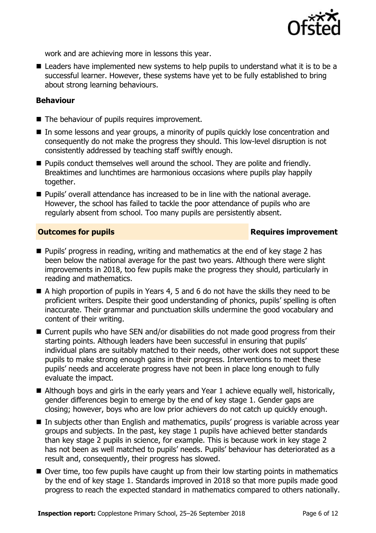

work and are achieving more in lessons this year.

■ Leaders have implemented new systems to help pupils to understand what it is to be a successful learner. However, these systems have yet to be fully established to bring about strong learning behaviours.

### **Behaviour**

- The behaviour of pupils requires improvement.
- In some lessons and year groups, a minority of pupils quickly lose concentration and consequently do not make the progress they should. This low-level disruption is not consistently addressed by teaching staff swiftly enough.
- **Pupils conduct themselves well around the school. They are polite and friendly.** Breaktimes and lunchtimes are harmonious occasions where pupils play happily together.
- Pupils' overall attendance has increased to be in line with the national average. However, the school has failed to tackle the poor attendance of pupils who are regularly absent from school. Too many pupils are persistently absent.

### **Outcomes for pupils Requires improvement**

- **Pupils' progress in reading, writing and mathematics at the end of key stage 2 has** been below the national average for the past two years. Although there were slight improvements in 2018, too few pupils make the progress they should, particularly in reading and mathematics.
- A high proportion of pupils in Years 4, 5 and 6 do not have the skills they need to be proficient writers. Despite their good understanding of phonics, pupils' spelling is often inaccurate. Their grammar and punctuation skills undermine the good vocabulary and content of their writing.
- Current pupils who have SEN and/or disabilities do not made good progress from their starting points. Although leaders have been successful in ensuring that pupils' individual plans are suitably matched to their needs, other work does not support these pupils to make strong enough gains in their progress. Interventions to meet these pupils' needs and accelerate progress have not been in place long enough to fully evaluate the impact.
- Although boys and girls in the early years and Year 1 achieve equally well, historically, gender differences begin to emerge by the end of key stage 1. Gender gaps are closing; however, boys who are low prior achievers do not catch up quickly enough.
- In subjects other than English and mathematics, pupils' progress is variable across year groups and subjects. In the past, key stage 1 pupils have achieved better standards than key stage 2 pupils in science, for example. This is because work in key stage 2 has not been as well matched to pupils' needs. Pupils' behaviour has deteriorated as a result and, consequently, their progress has slowed.
- Over time, too few pupils have caught up from their low starting points in mathematics by the end of key stage 1. Standards improved in 2018 so that more pupils made good progress to reach the expected standard in mathematics compared to others nationally.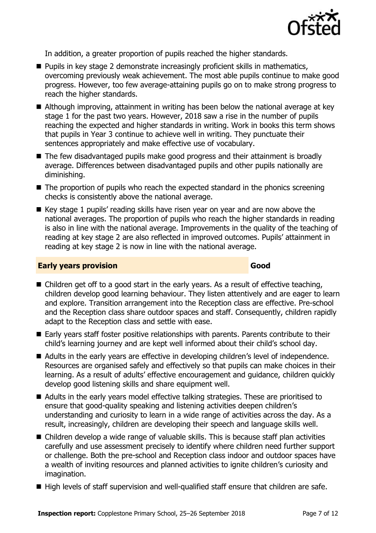

In addition, a greater proportion of pupils reached the higher standards.

- **Pupils in key stage 2 demonstrate increasingly proficient skills in mathematics,** overcoming previously weak achievement. The most able pupils continue to make good progress. However, too few average-attaining pupils go on to make strong progress to reach the higher standards.
- Although improving, attainment in writing has been below the national average at key stage 1 for the past two years. However, 2018 saw a rise in the number of pupils reaching the expected and higher standards in writing. Work in books this term shows that pupils in Year 3 continue to achieve well in writing. They punctuate their sentences appropriately and make effective use of vocabulary.
- The few disadvantaged pupils make good progress and their attainment is broadly average. Differences between disadvantaged pupils and other pupils nationally are diminishing.
- $\blacksquare$  The proportion of pupils who reach the expected standard in the phonics screening checks is consistently above the national average.
- Key stage 1 pupils' reading skills have risen year on year and are now above the national averages. The proportion of pupils who reach the higher standards in reading is also in line with the national average. Improvements in the quality of the teaching of reading at key stage 2 are also reflected in improved outcomes. Pupils' attainment in reading at key stage 2 is now in line with the national average.

### **Early years provision Good Good**

- Children get off to a good start in the early years. As a result of effective teaching, children develop good learning behaviour. They listen attentively and are eager to learn and explore. Transition arrangement into the Reception class are effective. Pre-school and the Reception class share outdoor spaces and staff. Consequently, children rapidly adapt to the Reception class and settle with ease.
- Early years staff foster positive relationships with parents. Parents contribute to their child's learning journey and are kept well informed about their child's school day.
- Adults in the early years are effective in developing children's level of independence. Resources are organised safely and effectively so that pupils can make choices in their learning. As a result of adults' effective encouragement and guidance, children quickly develop good listening skills and share equipment well.
- Adults in the early years model effective talking strategies. These are prioritised to ensure that good-quality speaking and listening activities deepen children's understanding and curiosity to learn in a wide range of activities across the day. As a result, increasingly, children are developing their speech and language skills well.
- Children develop a wide range of valuable skills. This is because staff plan activities carefully and use assessment precisely to identify where children need further support or challenge. Both the pre-school and Reception class indoor and outdoor spaces have a wealth of inviting resources and planned activities to ignite children's curiosity and imagination.
- High levels of staff supervision and well-qualified staff ensure that children are safe.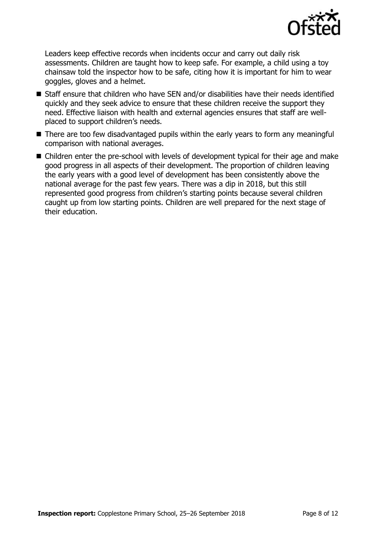

Leaders keep effective records when incidents occur and carry out daily risk assessments. Children are taught how to keep safe. For example, a child using a toy chainsaw told the inspector how to be safe, citing how it is important for him to wear goggles, gloves and a helmet.

- Staff ensure that children who have SEN and/or disabilities have their needs identified quickly and they seek advice to ensure that these children receive the support they need. Effective liaison with health and external agencies ensures that staff are wellplaced to support children's needs.
- There are too few disadvantaged pupils within the early years to form any meaningful comparison with national averages.
- Children enter the pre-school with levels of development typical for their age and make good progress in all aspects of their development. The proportion of children leaving the early years with a good level of development has been consistently above the national average for the past few years. There was a dip in 2018, but this still represented good progress from children's starting points because several children caught up from low starting points. Children are well prepared for the next stage of their education.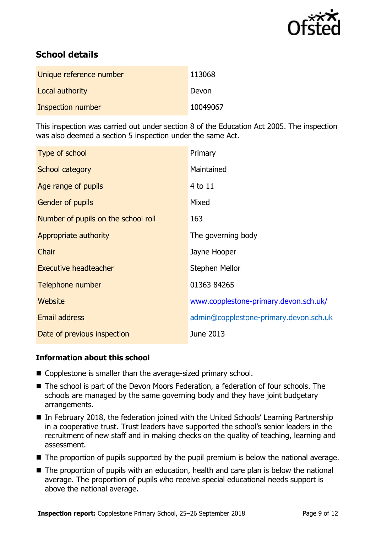

# **School details**

| Unique reference number | 113068   |
|-------------------------|----------|
| Local authority         | Devon    |
| Inspection number       | 10049067 |

This inspection was carried out under section 8 of the Education Act 2005. The inspection was also deemed a section 5 inspection under the same Act.

| Type of school                      | Primary                                |
|-------------------------------------|----------------------------------------|
| School category                     | Maintained                             |
| Age range of pupils                 | 4 to 11                                |
| <b>Gender of pupils</b>             | Mixed                                  |
| Number of pupils on the school roll | 163                                    |
| Appropriate authority               | The governing body                     |
| Chair                               | Jayne Hooper                           |
| <b>Executive headteacher</b>        | Stephen Mellor                         |
| Telephone number                    | 01363 84265                            |
| Website                             | www.copplestone-primary.devon.sch.uk/  |
| Email address                       | admin@copplestone-primary.devon.sch.uk |
| Date of previous inspection         | June 2013                              |

### **Information about this school**

- Copplestone is smaller than the average-sized primary school.
- The school is part of the Devon Moors Federation, a federation of four schools. The schools are managed by the same governing body and they have joint budgetary arrangements.
- In February 2018, the federation joined with the United Schools' Learning Partnership in a cooperative trust. Trust leaders have supported the school's senior leaders in the recruitment of new staff and in making checks on the quality of teaching, learning and assessment.
- The proportion of pupils supported by the pupil premium is below the national average.
- The proportion of pupils with an education, health and care plan is below the national average. The proportion of pupils who receive special educational needs support is above the national average.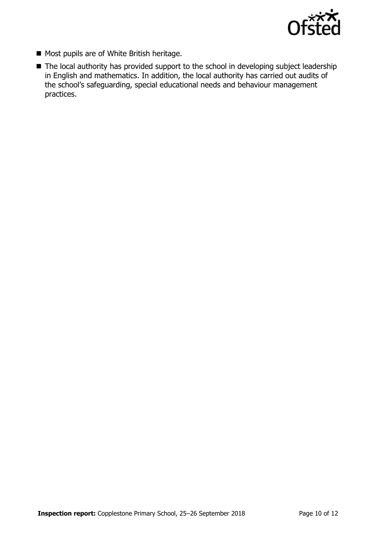

- Most pupils are of White British heritage.
- The local authority has provided support to the school in developing subject leadership in English and mathematics. In addition, the local authority has carried out audits of the school's safeguarding, special educational needs and behaviour management practices.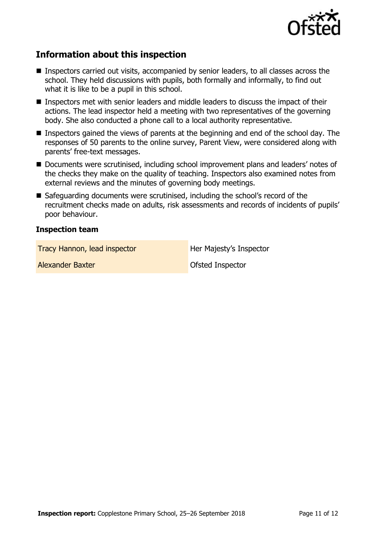

# **Information about this inspection**

- Inspectors carried out visits, accompanied by senior leaders, to all classes across the school. They held discussions with pupils, both formally and informally, to find out what it is like to be a pupil in this school.
- Inspectors met with senior leaders and middle leaders to discuss the impact of their actions. The lead inspector held a meeting with two representatives of the governing body. She also conducted a phone call to a local authority representative.
- Inspectors gained the views of parents at the beginning and end of the school day. The responses of 50 parents to the online survey, Parent View, were considered along with parents' free-text messages.
- Documents were scrutinised, including school improvement plans and leaders' notes of the checks they make on the quality of teaching. Inspectors also examined notes from external reviews and the minutes of governing body meetings.
- Safeguarding documents were scrutinised, including the school's record of the recruitment checks made on adults, risk assessments and records of incidents of pupils' poor behaviour.

### **Inspection team**

**Tracy Hannon, lead inspector Fracy Her Majesty's Inspector** 

Alexander Baxter **Alexander Baxter Alexander Baxter Ofsted Inspector**